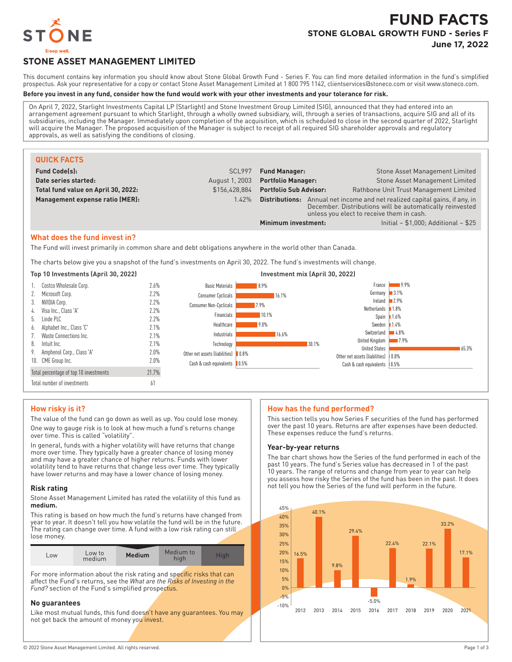

# **FUND FACTS STONE GLOBAL GROWTH FUND - Series F**

**June 17, 2022**

## **STONE ASSET MANAGEMENT LIMITED**

This document contains key information you should know about Stone Global Growth Fund - Series F. You can find more detailed information in the fund's simplified prospectus. Ask your representative for a copy or contact Stone Asset Management Limited at 1 800 795 1142, clientservices@stoneco.com or visit www.stoneco.com.

#### **Before you invest in any fund, consider how the fund would work with your other investments and your tolerance for risk.**

On April 7, 2022, Starlight Investments Capital LP (Starlight) and Stone Investment Group Limited (SIG), announced that they had entered into an arrangement agreement pursuant to which Starlight, through a wholly owned subsidiary, will, through a series of transactions, acquire SIG and all of its subsidiaries, including the Manager. Immediately upon completion of the acquisition, which is scheduled to close in the second quarter of 2022, Starlight will acquire the Manager. The proposed acquisition of the Manager is subject to receipt of all required SIG shareholder approvals and regulatory approvals, as well as satisfying the conditions of closing.

| <b>QUICK FACTS</b>                  |                |                                                                                                                                                                                                |                                        |
|-------------------------------------|----------------|------------------------------------------------------------------------------------------------------------------------------------------------------------------------------------------------|----------------------------------------|
| <b>Fund Code(s):</b>                | SCL997         | <b>Fund Manager:</b>                                                                                                                                                                           | Stone Asset Management Limited         |
| Date series started:                | August 1, 2003 | <b>Portfolio Manager:</b>                                                                                                                                                                      | <b>Stone Asset Management Limited</b>  |
| Total fund value on April 30, 2022: | \$156.428.884  | <b>Portfolio Sub Advisor:</b>                                                                                                                                                                  | Rathbone Unit Trust Management Limited |
| Management expense ratio (MER):     | 1.42%          | Annual net income and net realized capital gains, if any, in<br><b>Distributions:</b><br>December. Distributions will be automatically reinvested<br>unless you elect to receive them in cash. |                                        |
|                                     |                | Initial - \$1,000: Additional - \$25<br>Minimum investment:                                                                                                                                    |                                        |

#### **What does the fund invest in?**

The Fund will invest primarily in common share and debt obligations anywhere in the world other than Canada.

The charts below give you a snapshot of the fund's investments on April 30, 2022. The fund's investments will change.

#### **Top 10 Investments (April 30, 2022) Investment mix (April 30, 2022)** 1. Costco Wholesale Corp. 2.6% 2. Microsoft Corp. 2.2% 3. NVIDIA Corp. 2.2% 4. Visa Inc., Class 'A' 2.2% 5. Linde PLC 2.2% 6. Alphabet Inc., Class 'C' 2.1% 7. Waste Connections Inc. 2.1% 8. Intuit Inc. 2.1% 9. Amphenol Corp., Class 'A' 2.0% 10. CME Group Inc. 2.0% Total percentage of top 10 investments 21.7% Total number of investments 61 8.9% 16.1% 7.9% 10.1% 9.0% 16.6% 30.1% 0.8% 0.5% Basic Materials Consumer Cyclicals Consumer Non-Cyclicals Financials Healthcare Industrials Technology Other net assets (liabilities) Cash & cash equivalents 9.9% 3.1% 2.9% 1.8% **1.6%** 1.4% 4.8%  $-7.9%$ 65.3% Other net assets (liabilities) | 0.8% Cash & cash equivalents | 0.5% France Germany Ireland Netherlands Spain Sweden Switzerland United Kingdom United States

### **How risky is it?**

The value of the fund can go down as well as up. You could lose money. One way to gauge risk is to look at how much a fund's returns change over time. This is called "volatility".

In general, funds with a higher volatility will have returns that change more over time. They typically have a greater chance of losing money and may have a greater chance of higher returns. Funds with lower volatility tend to have returns that change less over time. They typically have lower returns and may have a lower chance of losing money.

#### **Risk rating**

Stone Asset Management Limited has rated the volatility of this fund as **medium.**

This rating is based on how much the fund's returns have changed from year to year. It doesn't tell you how volatile the fund will be in the future. The rating can change over time. A fund with a low risk rating can still lose money.

| Low | Low to<br>medium | <b>Medium</b> | Medium to | <b>Figh</b> |
|-----|------------------|---------------|-----------|-------------|

For more information about the risk rating and specific risks that can affect the Fund's returns, see the *What are the Risks of Investing in the* Fund? section of the Fund's simplified prospectus.

#### **No guarantees**

Like most mutual funds, this fund doesn't have any quarantees. You may not get back the amount of money you invest.

### **How has the fund performed?**

This section tells you how Series F securities of the fund has performed over the past 10 years. Returns are after expenses have been deducted. These expenses reduce the fund's returns.

#### **Year-by-year returns**

The bar chart shows how the Series of the fund performed in each of the past 10 years. The fund's Series value has decreased in 1 of the past 10 years. The range of returns and change from year to year can help you assess how risky the Series of the fund has been in the past. It does not tell you how the Series of the fund will perform in the future.

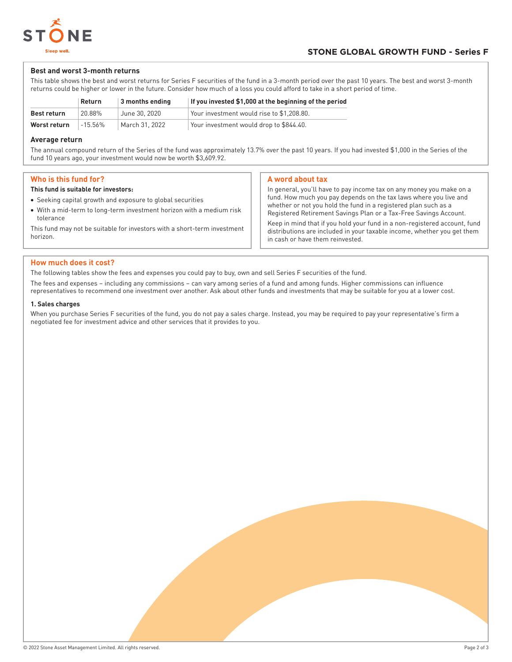

#### **Best and worst 3-month returns**

This table shows the best and worst returns for Series F securities of the fund in a 3-month period over the past 10 years. The best and worst 3-month returns could be higher or lower in the future. Consider how much of a loss you could afford to take in a short period of time.

|                    | Return     | $\vert$ 3 months ending | If you invested \$1,000 at the beginning of the period |
|--------------------|------------|-------------------------|--------------------------------------------------------|
| <b>Best return</b> | 20.88%     | June 30, 2020           | Your investment would rise to \$1.208.80.              |
| Worst return       | $-15.56\%$ | March 31, 2022          | Your investment would drop to \$844.40.                |

#### **Average return**

The annual compound return of the Series of the fund was approximately 13.7% over the past 10 years. If you had invested \$1,000 in the Series of the fund 10 years ago, your investment would now be worth \$3,609.92.

### **Who is this fund for?**

#### **This fund is suitable for investors:**

- Seeking capital growth and exposure to global securities
- With a mid-term to long-term investment horizon with a medium risk tolerance This fund may not be suitable for investors with a short-term investment

#### **A word about tax**

In general, you'll have to pay income tax on any money you make on a fund. How much you pay depends on the tax laws where you live and whether or not you hold the fund in a registered plan such as a Registered Retirement Savings Plan or a Tax-Free Savings Account.

Keep in mind that if you hold your fund in a non-registered account, fund distributions are included in your taxable income, whether you get them in cash or have them reinvested.

#### **How much does it cost?**

The following tables show the fees and expenses you could pay to buy, own and sell Series F securities of the fund.

The fees and expenses – including any commissions – can vary among series of a fund and among funds. Higher commissions can influence representatives to recommend one investment over another. Ask about other funds and investments that may be suitable for you at a lower cost.

#### **1. Sales charges**

horizon.

When you purchase Series F securities of the fund, you do not pay a sales charge. Instead, you may be required to pay your representative's firm a negotiated fee for investment advice and other services that it provides to you.